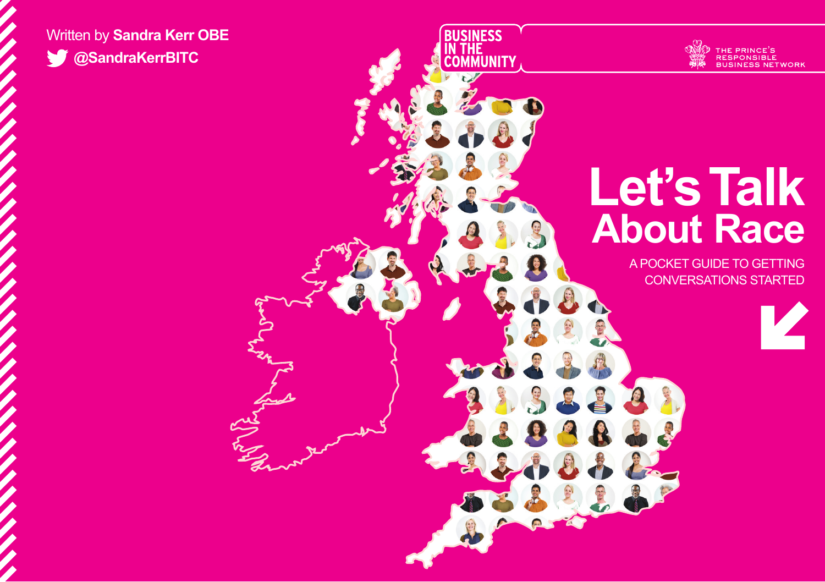## Written by **Sandra Kerr OBE @SandraKerrBITC**



## **Let's Talk About Race**

**BUSINESS<br>IN THE<br>COMMUNITY** 

A POCKET GUIDE TO GETTING CONVERSATIONS STARTED

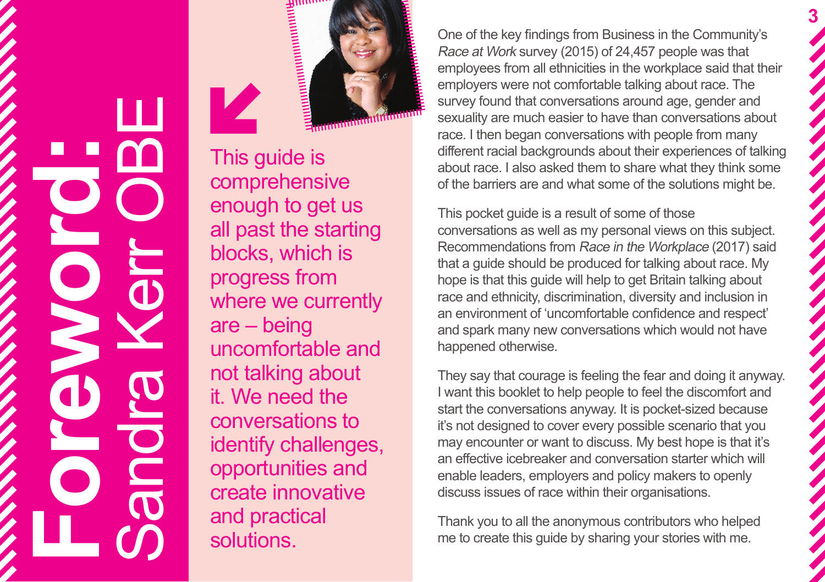Sandra Kerr OBE Ш **Foreword:**

This guide is comprehensive enough to get us all past the starting blocks, which is progress from where we currently are – being uncomfortable and not talking about it. We need the conversations to identify challenges, opportunities and create innovative and practical solutions.

One of the key findings from Business in the Community's Race at Work survey (2015) of 24,457 people was that employees from all ethnicities in the workplace said that their employers were not comfortable talking about race. The survey found that conversations around age, gender and sexuality are much easier to have than conversations about race. I then began conversations with people from many different racial backgrounds about their experiences of talking about race. I also asked them to share what they think some of the barriers are and what some of the solutions might be.

**3**

This pocket guide is a result of some of those conversations as well as my personal views on this subject. Recommendations from Race in the Workplace (2017) said that a guide should be produced for talking about race. My hope is that this guide will help to get Britain talking about race and ethnicity, discrimination, diversity and inclusion in an environment of 'uncomfortable confidence and respect' and spark many new conversations which would not have happened otherwise.

They say that courage is feeling the fear and doing it anyway. I want this booklet to help people to feel the discomfort and start the conversations anyway. It is pocket-sized because it's not designed to cover every possible scenario that you may encounter or want to discuss. My best hope is that it's an effective icebreaker and conversation starter which will enable leaders, employers and policy makers to openly discuss issues of race within their organisations.

Thank you to all the anonymous contributors who helped me to create this guide by sharing your stories with me.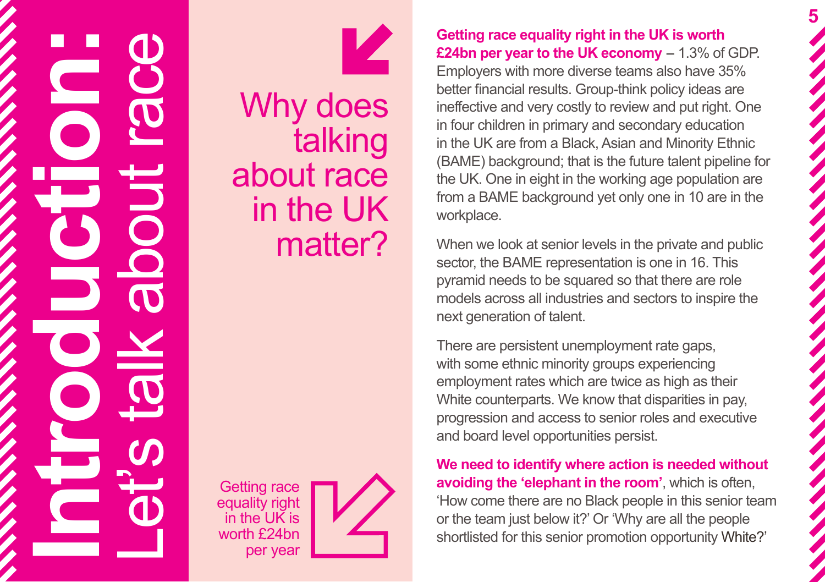# **Introduction:** Let's tabout rabout rabout the UK is pervear



Why does talking about race in the UK matter?

equality right in the UK is worth £24bn per year



**Getting race equality right in the UK is worth £24bn per year to the UK economy** – 1.3% of GDP. Employers with more diverse teams also have 35% better financial results. Group-think policy ideas are ineffective and very costly to review and put right. One in four children in primary and secondary education in the UK are from a Black, Asian and Minority Ethnic (BAME) background; that is the future talent pipeline for the UK. One in eight in the working age population are from a BAME background yet only one in 10 are in the workplace.

**5**

When we look at senior levels in the private and public sector, the BAME representation is one in 16. This pyramid needs to be squared so that there are role models across all industries and sectors to inspire the next generation of talent.

There are persistent unemployment rate gaps, with some ethnic minority groups experiencing employment rates which are twice as high as their White counterparts. We know that disparities in pay, progression and access to senior roles and executive and board level opportunities persist.

**We need to identify where action is needed without avoiding the 'elephant in the room'**, which is often, 'How come there are no Black people in this senior team or the team just below it?' Or 'Why are all the people shortlisted for this senior promotion opportunity White?'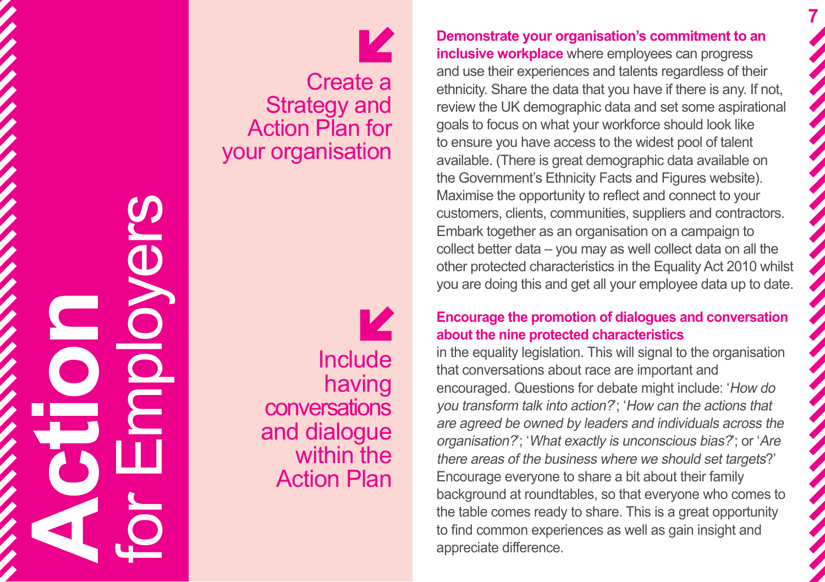**Action** for Employers

И **Include** having conversations and dialogue within the Action Plan

Create a

K

Strategy and Action Plan for

your organisation

**Demonstrate your organisation's commitment to an inclusive workplace** where employees can progress and use their experiences and talents regardless of their ethnicity. Share the data that you have if there is any. If not, review the UK demographic data and set some aspirational goals to focus on what your workforce should look like to ensure you have access to the widest pool of talent available. (There is great demographic data available on the Government's Ethnicity Facts and Figures website). Maximise the opportunity to reflect and connect to your customers, clients, communities, suppliers and contractors. Embark together as an organisation on a campaign to collect better data – you may as well collect data on all the other protected characteristics in the Equality Act 2010 whilst you are doing this and get all your employee data up to date.

**7**

### **Encourage the promotion of dialogues and conversation about the nine protected characteristics**

in the equality legislation. This will signal to the organisation that conversations about race are important and encouraged. Questions for debate might include: 'How do you transform talk into action?'; 'How can the actions that are agreed be owned by leaders and individuals across the organisation?'; 'What exactly is unconscious bias?'; or 'Are there areas of the business where we should set targets?' Encourage everyone to share a bit about their family background at roundtables, so that everyone who comes to the table comes ready to share. This is a great opportunity to find common experiences as well as gain insight and appreciate difference.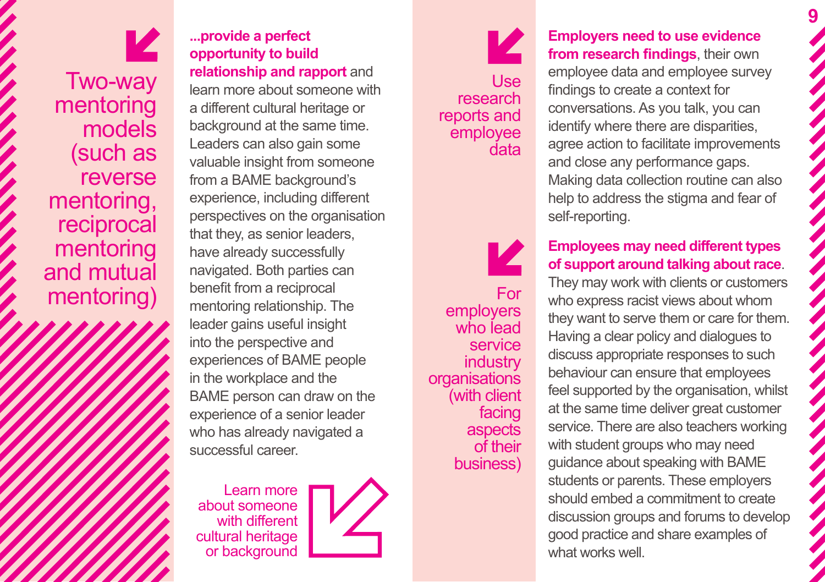K Two-way mentoring models (such as reverse mentoring, reciprocal mentoring and mutual mentoring)

**...provide a perfect opportunity to build relationship and rapport** and learn more about someone with a different cultural heritage or background at the same time. Leaders can also gain some valuable insight from someone from a BAME background's experience, including different perspectives on the organisation that they, as senior leaders, have already successfully navigated. Both parties can benefit from a reciprocal mentoring relationship. The leader gains useful insight into the perspective and experiences of BAME people in the workplace and the BAME person can draw on the experience of a senior leader who has already navigated a successful career.

Learn more about someone with different cultural heritage or background



## И Use research reports and employee data

K For employers who lead service **industry organisations** (with client facing aspects of their business)

**Employers need to use evidence from research findings**, their own employee data and employee survey findings to create a context for conversations. As you talk, you can identify where there are disparities, agree action to facilitate improvements and close any performance gaps. Making data collection routine can also help to address the stigma and fear of self-reporting.

## **Employees may need different types of support around talking about race**.

They may work with clients or customers who express racist views about whom they want to serve them or care for them. Having a clear policy and dialogues to discuss appropriate responses to such behaviour can ensure that employees feel supported by the organisation, whilst at the same time deliver great customer service. There are also teachers working with student groups who may need guidance about speaking with BAME students or parents. These employers should embed a commitment to create discussion groups and forums to develop good practice and share examples of what works well.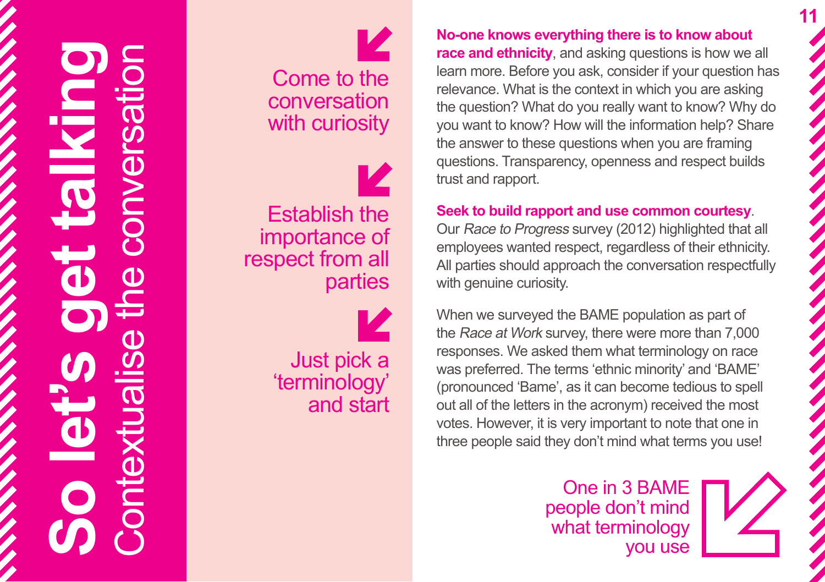## **So let's get talking** Contextualise the conversation

Come to the conversation with curiosity

Establish the importance of respect from all parties

> Just pick a 'terminology' and start

**No-one knows everything there is to know about race and ethnicity**, and asking questions is how we all learn more. Before you ask, consider if your question has relevance. What is the context in which you are asking the question? What do you really want to know? Why do you want to know? How will the information help? Share the answer to these questions when you are framing questions. Transparency, openness and respect builds trust and rapport.

**11**

## **Seek to build rapport and use common courtesy**.

Our Race to Progress survey (2012) highlighted that all employees wanted respect, regardless of their ethnicity. All parties should approach the conversation respectfully with genuine curiosity.

When we surveyed the BAME population as part of the Race at Work survey, there were more than 7,000 responses. We asked them what terminology on race was preferred. The terms 'ethnic minority' and 'BAME' (pronounced 'Bame', as it can become tedious to spell out all of the letters in the acronym) received the most votes. However, it is very important to note that one in three people said they don't mind what terms you use!

> One in 3 BAME people don't mind what terminology you use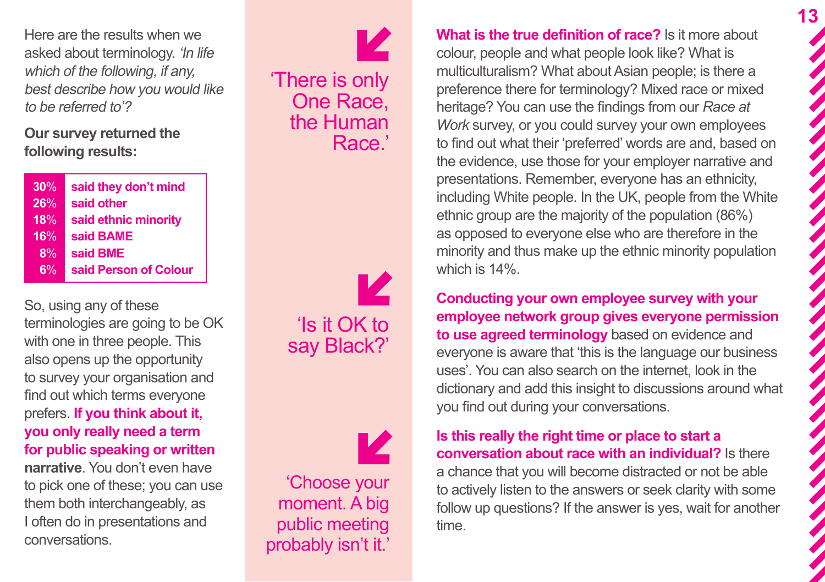Here are the results when we asked about terminology. 'In life which of the following, if any, best describe how you would like to be referred to'?

**Our survey returned the following results:** 

| 30% | said they don't mind  |
|-----|-----------------------|
| 26% | said other            |
| 18% | said ethnic minority  |
| 16% | said BAME             |
| 8%  | said BME              |
| 6%  | said Person of Colour |

So, using any of these terminologies are going to be OK with one in three people. This also opens up the opportunity to survey your organisation and find out which terms everyone prefers. **If you think about it, you only really need a term for public speaking or written** 

**narrative**. You don't even have to pick one of these; you can use them both interchangeably, as I often do in presentations and conversations.



12 'Is it OK to say Black?'

Z 'Choose your moment. A big public meeting probably isn't it.' **What is the true definition of race?** Is it more about colour, people and what people look like? What is multiculturalism? What about Asian people; is there a preference there for terminology? Mixed race or mixed heritage? You can use the findings from our *Race at Work* survey, or you could survey your own employees to find out what their 'preferred' words are and, based on the evidence, use those for your employer narrative and presentations. Remember, everyone has an ethnicity, including White people. In the UK, people from the White ethnic group are the majority of the population (86%) as opposed to everyone else who are therefore in the minority and thus make up the ethnic minority population which is 14%.

**13**

**Conducting your own employee survey with your employee network group gives everyone permission to use agreed terminology** based on evidence and everyone is aware that 'this is the language our business uses'. You can also search on the internet, look in the dictionary and add this insight to discussions around what you find out during your conversations.

**Is this really the right time or place to start a conversation about race with an individual?** Is there a chance that you will become distracted or not be able to actively listen to the answers or seek clarity with some follow up questions? If the answer is yes, wait for another time.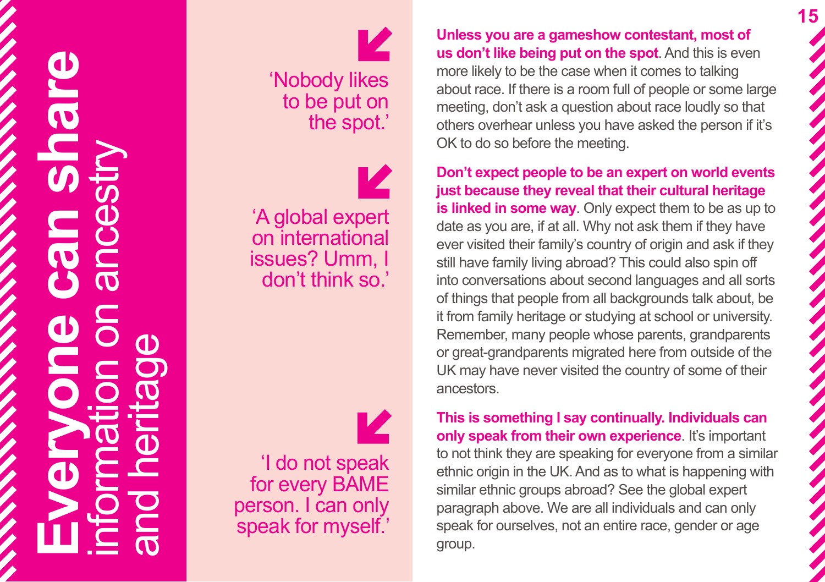

 $\overline{\mathbf{z}}$ 'Nobody likes to be put on the spot.'

'A global expert on international issues? Umm, I don't think so.'

'I do not speak for every BAME person. I can only speak for myself.'

**Unless you are a gameshow contestant, most of us don't like being put on the spot**. And this is even more likely to be the case when it comes to talking about race. If there is a room full of people or some large meeting, don't ask a question about race loudly so that others overhear unless you have asked the person if it's OK to do so before the meeting.

**Don't expect people to be an expert on world events just because they reveal that their cultural heritage is linked in some way**. Only expect them to be as up to date as you are, if at all. Why not ask them if they have ever visited their family's country of origin and ask if they still have family living abroad? This could also spin off into conversations about second languages and all sorts of things that people from all backgrounds talk about, be it from family heritage or studying at school or university. Remember, many people whose parents, grandparents or great-grandparents migrated here from outside of the UK may have never visited the country of some of their ancestors.

**This is something I say continually. Individuals can only speak from their own experience**. It's important to not think they are speaking for everyone from a similar ethnic origin in the UK. And as to what is happening with similar ethnic groups abroad? See the global expert paragraph above. We are all individuals and can only speak for ourselves, not an entire race, gender or age group.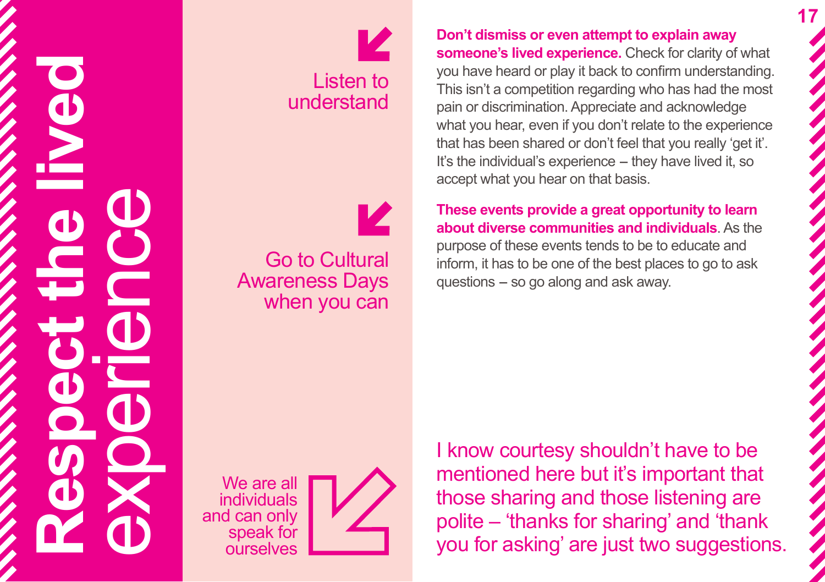



Go to Cultural Awareness Days when you can **Don't dismiss or even attempt to explain away someone's lived experience.** Check for clarity of what you have heard or play it back to confirm understanding. This isn't a competition regarding who has had the most pain or discrimination. Appreciate and acknowledge what you hear, even if you don't relate to the experience that has been shared or don't feel that you really 'get it'. It's the individual's experience - they have lived it, so accept what you hear on that basis.

**These events provide a great opportunity to learn about diverse communities and individuals**. As the purpose of these events tends to be to educate and inform, it has to be one of the best places to go to ask  $questions - so go along and ask away.$ 

We are all individuals and can only speak for **ourselves** 



I know courtesy shouldn't have to be mentioned here but it's important that those sharing and those listening are polite – 'thanks for sharing' and 'thank you for asking' are just two suggestions.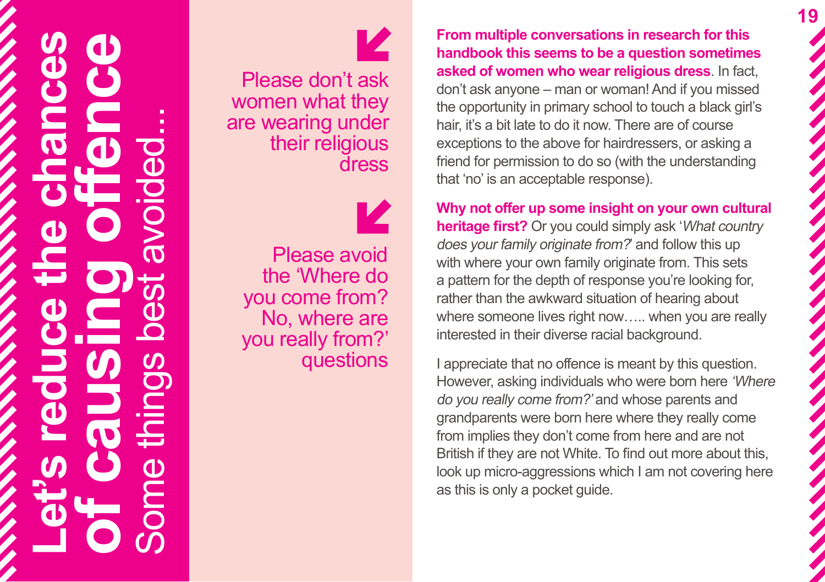## **Let's reduce the chances of causing offence** Some things best avoided...

Please don't ask women what they are wearing under their religious dress

Please avoid the 'Where do you come from? No, where are you really from?' questions **From multiple conversations in research for this handbook this seems to be a question sometimes asked of women who wear religious dress**. In fact, don't ask anyone – man or woman! And if you missed the opportunity in primary school to touch a black girl's hair, it's a bit late to do it now. There are of course exceptions to the above for hairdressers, or asking a friend for permission to do so (with the understanding that 'no' is an acceptable response).

**Why not offer up some insight on your own cultural heritage first?** Or you could simply ask 'What country' does your family originate from?' and follow this up with where your own family originate from. This sets a pattern for the depth of response you're looking for, rather than the awkward situation of hearing about where someone lives right now….. when you are really interested in their diverse racial background.

I appreciate that no offence is meant by this question. However, asking individuals who were born here 'Where do you really come from?' and whose parents and grandparents were born here where they really come from implies they don't come from here and are not British if they are not White. To find out more about this, look up micro-aggressions which I am not covering here as this is only a pocket guide.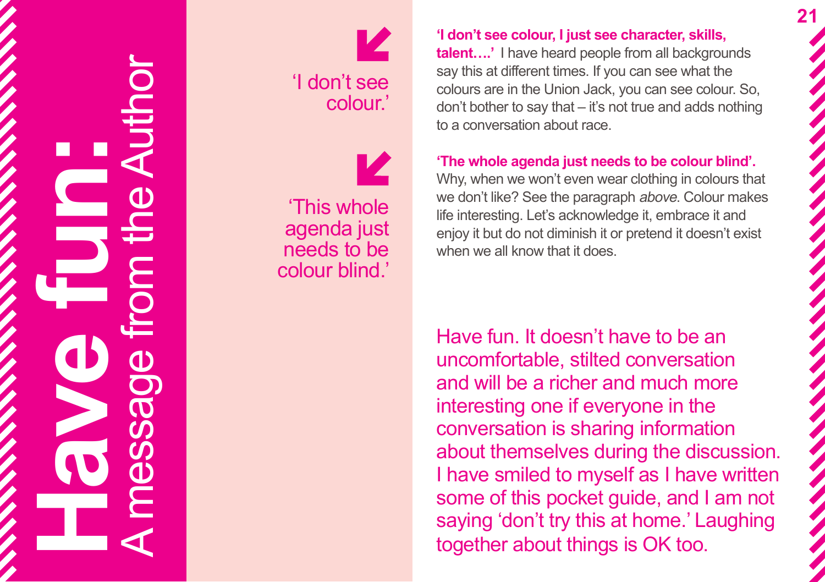





'This whole agenda just needs to be colour blind.'

**'I don't see colour, I just see character, skills,** 

**talent….'** I have heard people from all backgrounds say this at different times. If you can see what the colours are in the Union Jack, you can see colour. So, don't bother to say that – it's not true and adds nothing to a conversation about race.

**'The whole agenda just needs to be colour blind'.** 

Why, when we won't even wear clothing in colours that we don't like? See the paragraph above. Colour makes life interesting. Let's acknowledge it, embrace it and enjoy it but do not diminish it or pretend it doesn't exist when we all know that it does.

Have fun. It doesn't have to be an uncomfortable, stilted conversation and will be a richer and much more interesting one if everyone in the conversation is sharing information about themselves during the discussion. I have smiled to myself as I have written some of this pocket guide, and I am not saying 'don't try this at home.' Laughing together about things is OK too.